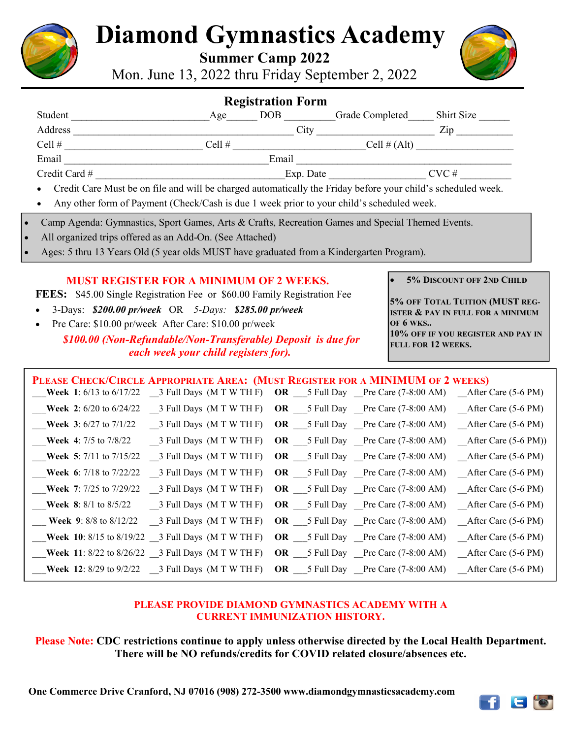

# **Diamond Gymnastics Academy**

 **Summer Camp 2022**

Mon. June 13, 2022 thru Friday September 2, 2022



| <b>Registration Form</b>                                                                                       |          |                  |                 |               |
|----------------------------------------------------------------------------------------------------------------|----------|------------------|-----------------|---------------|
| Student                                                                                                        | Age      | DOB <sub>1</sub> | Grade Completed | Shirt Size    |
| Address                                                                                                        |          | City             |                 | Zip           |
| Cell $#$                                                                                                       | Cell $#$ |                  |                 | Cell $#(Alt)$ |
| Email                                                                                                          |          | Email            |                 |               |
| Credit Card #                                                                                                  |          |                  | Exp. Date       | $CVC \#$      |
| • Credit Care Must be on file and will be charged automatically the Friday before your child's scheduled week. |          |                  |                 |               |
| Any other form of Payment (Check/Cash is due 1 week prior to your child's scheduled week.<br>$\bullet$         |          |                  |                 |               |

- Camp Agenda: Gymnastics, Sport Games, Arts & Crafts, Recreation Games and Special Themed Events.
- All organized trips offered as an Add-On. (See Attached)
- Ages: 5 thru 13 Years Old (5 year olds MUST have graduated from a Kindergarten Program).

#### **MUST REGISTER FOR A MINIMUM OF 2 WEEKS.**

**FEES:** \$45.00 Single Registration Fee or \$60.00 Family Registration Fee

- 3-Days: *\$200.00 pr/week* OR *5-Days: \$285.00 pr/week*
- Pre Care: \$10.00 pr/week After Care: \$10.00 pr/week

#### *\$100.00 (Non-Refundable/Non-Transferable) Deposit is due for each week your child registers for).*

• **5% DISCOUNT OFF 2ND CHILD**

**5% OFF TOTAL TUITION (MUST REG-ISTER & PAY IN FULL FOR A MINIMUM OF 6 WKS.. 10% OFF IF YOU REGISTER AND PAY IN FULL FOR 12 WEEKS.** 

### PLEASE CHECK/CIRCLE APPROPRIATE AREA: (MUST REGISTER FOR A MINIMUM OF 2 WEEKS) \_\_\_**Week 1**: 6/13 to 6/17/22 \_\_3 Full Days (M T W TH F) **OR** \_\_\_5 Full Day \_\_Pre Care (7-8:00 AM) \_\_After Care (5-6 PM) \_\_\_**Week 2**: 6/20 to 6/24/22 \_\_3 Full Days (M T W TH F) **OR** \_\_\_5 Full Day \_\_Pre Care (7-8:00 AM) \_\_After Care (5-6 PM) \_\_\_**Week 3**: 6/27 to 7/1/22 \_\_3 Full Days (M T W TH F) **OR** \_\_\_5 Full Day \_\_Pre Care (7-8:00 AM) \_\_After Care (5-6 PM) \_\_\_**Week 4**: 7/5 to 7/8/22 \_\_3 Full Days (M T W TH F) **OR** \_\_\_5 Full Day \_\_Pre Care (7-8:00 AM) \_\_After Care (5-6 PM)) \_\_\_**Week 5**: 7/11 to 7/15/22 \_\_3 Full Days (M T W TH F) **OR** \_\_\_5 Full Day \_\_Pre Care (7-8:00 AM) \_\_After Care (5-6 PM) Week 6: 7/18 to 7/22/22 3 Full Days (M T W TH F) OR 5 Full Day Pre Care (7-8:00 AM) After Care (5-6 PM) \_\_\_**Week 7**: 7/25 to 7/29/22 \_\_3 Full Days (M T W TH F) **OR** \_\_\_5 Full Day \_\_Pre Care (7-8:00 AM) \_\_After Care (5-6 PM) \_\_\_**Week 8**: 8/1 to 8/5/22 \_\_3 Full Days (M T W TH F) **OR** \_\_\_5 Full Day \_\_Pre Care (7-8:00 AM) \_\_After Care (5-6 PM) \_\_\_ **Week 9**: 8/8 to 8/12/22 \_\_3 Full Days (M T W TH F) **OR** \_\_\_5 Full Day \_\_Pre Care (7-8:00 AM) \_\_After Care (5-6 PM) \_\_\_**Week 10**: 8/15 to 8/19/22 \_\_3 Full Days (M T W TH F) **OR** \_\_\_5 Full Day \_\_Pre Care (7-8:00 AM) \_\_After Care (5-6 PM) \_\_\_**Week 11**: 8/22 to 8/26/22 \_\_3 Full Days (M T W TH F) **OR** \_\_\_5 Full Day \_\_Pre Care (7-8:00 AM) \_\_After Care (5-6 PM) \_\_\_**Week 12**: 8/29 to 9/2/22 \_\_3 Full Days (M T W TH F) **OR** \_\_\_5 Full Day \_\_Pre Care (7-8:00 AM) \_\_After Care (5-6 PM)

#### **PLEASE PROVIDE DIAMOND GYMNASTICS ACADEMY WITH A CURRENT IMMUNIZATION HISTORY.**

**Please Note: CDC restrictions continue to apply unless otherwise directed by the Local Health Department. There will be NO refunds/credits for COVID related closure/absences etc.** 

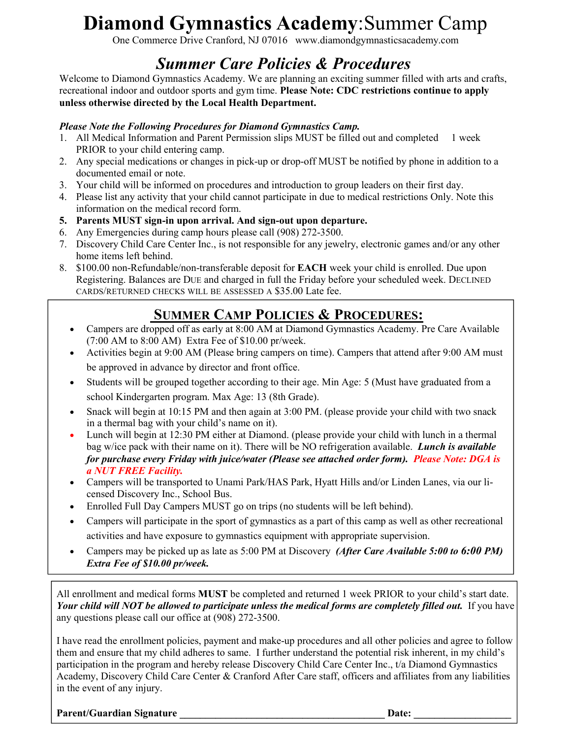# **Diamond Gymnastics Academy**:Summer Camp

One Commerce Drive Cranford, NJ 07016 www.diamondgymnasticsacademy.com

## *Summer Care Policies & Procedures*

Welcome to Diamond Gymnastics Academy. We are planning an exciting summer filled with arts and crafts, recreational indoor and outdoor sports and gym time. **Please Note: CDC restrictions continue to apply unless otherwise directed by the Local Health Department.** 

#### *Please Note the Following Procedures for Diamond Gymnastics Camp.*

- 1. All Medical Information and Parent Permission slips MUST be filled out and completed 1 week PRIOR to your child entering camp.
- 2. Any special medications or changes in pick-up or drop-off MUST be notified by phone in addition to a documented email or note.
- 3. Your child will be informed on procedures and introduction to group leaders on their first day.
- 4. Please list any activity that your child cannot participate in due to medical restrictions Only. Note this information on the medical record form.
- **5. Parents MUST sign-in upon arrival. And sign-out upon departure.**
- 6. Any Emergencies during camp hours please call (908) 272-3500.
- 7. Discovery Child Care Center Inc., is not responsible for any jewelry, electronic games and/or any other home items left behind.
- 8. \$100.00 non-Refundable/non-transferable deposit for **EACH** week your child is enrolled. Due upon Registering. Balances are DUE and charged in full the Friday before your scheduled week. DECLINED CARDS/RETURNED CHECKS WILL BE ASSESSED A \$35.00 Late fee.

## **SUMMER CAMP POLICIES & PROCEDURES:**

- Campers are dropped off as early at 8:00 AM at Diamond Gymnastics Academy. Pre Care Available (7:00 AM to 8:00 AM) Extra Fee of \$10.00 pr/week.
- Activities begin at 9:00 AM (Please bring campers on time). Campers that attend after 9:00 AM must be approved in advance by director and front office.
- Students will be grouped together according to their age. Min Age: 5 (Must have graduated from a school Kindergarten program. Max Age: 13 (8th Grade).
- Snack will begin at 10:15 PM and then again at 3:00 PM. (please provide your child with two snack in a thermal bag with your child's name on it).
- Lunch will begin at 12:30 PM either at Diamond. (please provide your child with lunch in a thermal bag w/ice pack with their name on it). There will be NO refrigeration available. *Lunch is available for purchase every Friday with juice/water (Please see attached order form). Please Note: DGA is a NUT FREE Facility.*
- Campers will be transported to Unami Park/HAS Park, Hyatt Hills and/or Linden Lanes, via our licensed Discovery Inc., School Bus.
- Enrolled Full Day Campers MUST go on trips (no students will be left behind).
- Campers will participate in the sport of gymnastics as a part of this camp as well as other recreational activities and have exposure to gymnastics equipment with appropriate supervision.
- Campers may be picked up as late as 5:00 PM at Discovery *(After Care Available 5:00 to 6:00 PM) Extra Fee of \$10.00 pr/week.*

All enrollment and medical forms **MUST** be completed and returned 1 week PRIOR to your child's start date. Your child will NOT be allowed to participate unless the medical forms are completely filled out. If you have any questions please call our office at (908) 272-3500.

I have read the enrollment policies, payment and make-up procedures and all other policies and agree to follow them and ensure that my child adheres to same. I further understand the potential risk inherent, in my child's participation in the program and hereby release Discovery Child Care Center Inc., t/a Diamond Gymnastics Academy, Discovery Child Care Center & Cranford After Care staff, officers and affiliates from any liabilities in the event of any injury.

Parent/Guardian Signature **Date: Date: Date: Date: Date: Date: Date: Date: Date: Date: Date: Date: Date: Date: Date: Date: Date: Date: Date: Date: Date: Date: Date: Date: Dat**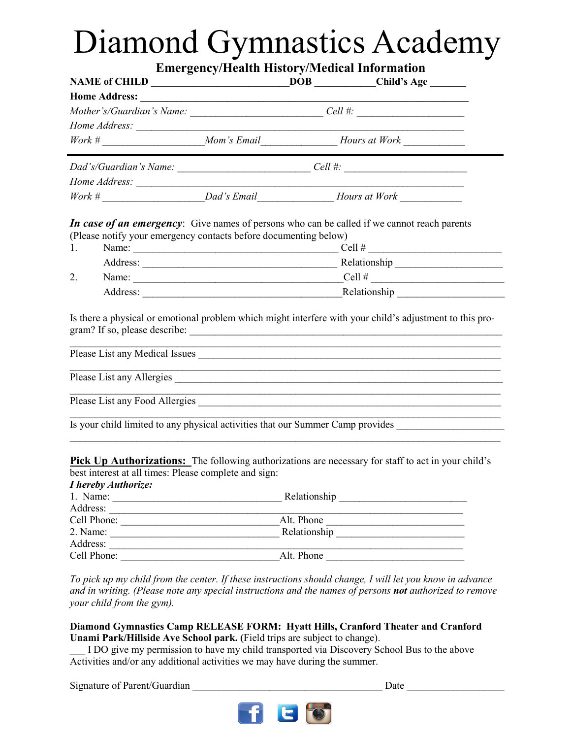# Diamond Gymnastics Academy

**Emergency/Health History/Medical Information**

|                                                                                                                                                                       |              | DOB Child's Age                                                                                                                                                                                                              |
|-----------------------------------------------------------------------------------------------------------------------------------------------------------------------|--------------|------------------------------------------------------------------------------------------------------------------------------------------------------------------------------------------------------------------------------|
|                                                                                                                                                                       |              |                                                                                                                                                                                                                              |
| Mother's/Guardian's Name: ______________________________Cell #: _________________                                                                                     |              |                                                                                                                                                                                                                              |
|                                                                                                                                                                       |              |                                                                                                                                                                                                                              |
| $Work # \_\_\_\_\_$ Mom's Email Hours at Work $\_\_\_\_\_\_\_\_$                                                                                                      |              |                                                                                                                                                                                                                              |
|                                                                                                                                                                       |              |                                                                                                                                                                                                                              |
|                                                                                                                                                                       |              |                                                                                                                                                                                                                              |
| $Work # \_\_$                                                                                                                                                         |              |                                                                                                                                                                                                                              |
| In case of an emergency: Give names of persons who can be called if we cannot reach parents<br>(Please notify your emergency contacts before documenting below)<br>1. |              | Name: $\qquad \qquad \qquad \qquad \qquad \qquad \text{Cell } \# \qquad \qquad \qquad$                                                                                                                                       |
|                                                                                                                                                                       |              |                                                                                                                                                                                                                              |
| 2.                                                                                                                                                                    |              | Name: $\_\_\_\_\_\_$ Cell # $\_\_\_\_\_\_\_\_\_$                                                                                                                                                                             |
|                                                                                                                                                                       |              | Address: Relationship                                                                                                                                                                                                        |
|                                                                                                                                                                       |              | Is there a physical or emotional problem which might interfere with your child's adjustment to this pro-<br>and the control of the control of the control of the control of the control of the control of the control of the |
|                                                                                                                                                                       |              | Please List any Allergies                                                                                                                                                                                                    |
| Please List any Food Allergies                                                                                                                                        |              |                                                                                                                                                                                                                              |
|                                                                                                                                                                       |              | Is your child limited to any physical activities that our Summer Camp provides                                                                                                                                               |
| best interest at all times: Please complete and sign:<br>I hereby Authorize:                                                                                          |              | <b>Pick Up Authorizations:</b> The following authorizations are necessary for staff to act in your child's                                                                                                                   |
|                                                                                                                                                                       |              |                                                                                                                                                                                                                              |
|                                                                                                                                                                       |              |                                                                                                                                                                                                                              |
|                                                                                                                                                                       |              | Alt. Phone                                                                                                                                                                                                                   |
| 2. Name:                                                                                                                                                              | Relationship |                                                                                                                                                                                                                              |

*To pick up my child from the center. If these instructions should change, I will let you know in advance and in writing. (Please note any special instructions and the names of persons not authorized to remove your child from the gym).* 

Address: \_\_\_\_\_\_\_\_\_\_\_\_\_\_\_\_\_\_\_\_\_\_\_\_\_\_\_\_\_\_\_\_\_\_\_\_\_\_\_\_\_\_\_\_\_\_\_\_\_\_\_\_\_\_\_\_\_\_\_\_\_\_\_\_\_\_\_\_\_ Cell Phone: \_\_\_\_\_\_\_\_\_\_\_\_\_\_\_\_\_\_\_\_\_\_\_\_\_\_\_\_\_\_\_Alt. Phone \_\_\_\_\_\_\_\_\_\_\_\_\_\_\_\_\_\_\_\_\_\_\_\_\_\_\_

#### **Diamond Gymnastics Camp RELEASE FORM: Hyatt Hills, Cranford Theater and Cranford Unami Park/Hillside Ave School park. (**Field trips are subject to change).

\_\_\_ I DO give my permission to have my child transported via Discovery School Bus to the above Activities and/or any additional activities we may have during the summer.

Signature of Parent/Guardian **Date**  $\Box$ 

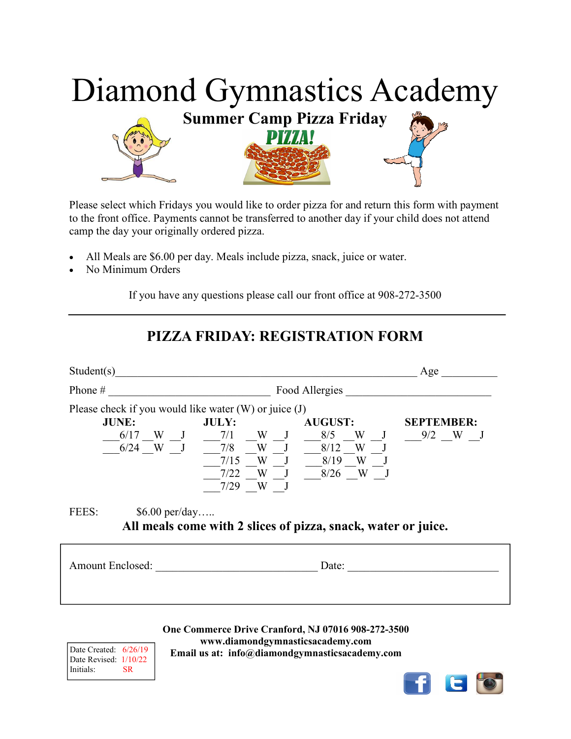

Please select which Fridays you would like to order pizza for and return this form with payment to the front office. Payments cannot be transferred to another day if your child does not attend camp the day your originally ordered pizza.

- All Meals are \$6.00 per day. Meals include pizza, snack, juice or water.
- No Minimum Orders

If you have any questions please call our front office at 908-272-3500

### **PIZZA FRIDAY: REGISTRATION FORM**

| Student(s)                                                                                |            |                                                                                                                                                                                                                                                                                                                                                    | Age               |  |
|-------------------------------------------------------------------------------------------|------------|----------------------------------------------------------------------------------------------------------------------------------------------------------------------------------------------------------------------------------------------------------------------------------------------------------------------------------------------------|-------------------|--|
| Phone $#$                                                                                 |            | Food Allergies                                                                                                                                                                                                                                                                                                                                     |                   |  |
| Please check if you would like water $(W)$ or juice $(J)$<br><b>JUNE:</b><br>JULY:        | $7/29$ W J | <b>AUGUST:</b><br>$\underbrace{0.6/17}_{0.6/24}$ W $\underbrace{J}_{J}$ $\underbrace{7/1}_{7/8}$ W $\underbrace{N}{W}$ $\underbrace{J}_{J}$ $\underbrace{8/5}_{8/12}$ W $\underbrace{J}_{N}$ $\underbrace{J}_{J}$ $\underbrace{9/2}_{W}$ W $\underbrace{J}_{J}$<br>$\frac{7}{15}$ W J $\frac{8}{19}$ W J<br>$\frac{-7}{22}$ W J $\frac{8}{26}$ W J | <b>SEPTEMBER:</b> |  |
| FEES:<br>$$6.00$ per/day<br>All meals come with 2 slices of pizza, snack, water or juice. |            |                                                                                                                                                                                                                                                                                                                                                    |                   |  |
| Amount Enclosed:                                                                          |            | Date:                                                                                                                                                                                                                                                                                                                                              |                   |  |
|                                                                                           |            |                                                                                                                                                                                                                                                                                                                                                    |                   |  |

**One Commerce Drive Cranford, NJ 07016 908-272-3500 www.diamondgymnasticsacademy.com Email us at: info@diamondgymnasticsacademy.com** 

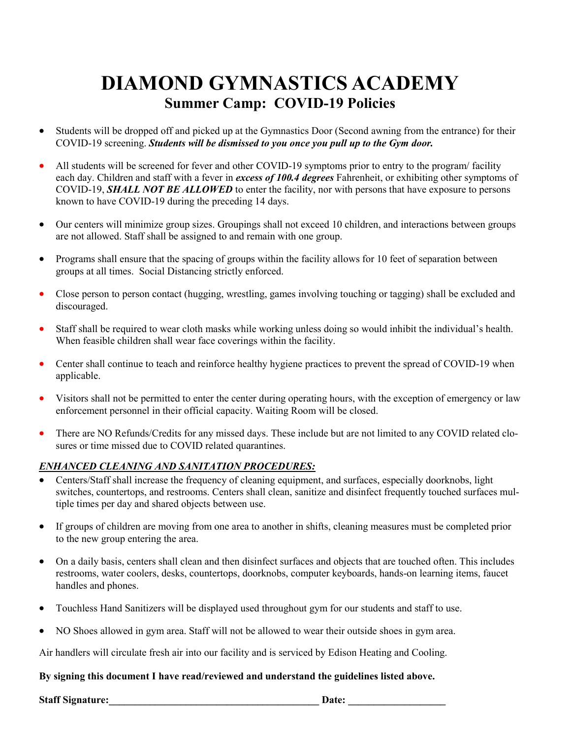## **DIAMOND GYMNASTICS ACADEMY Summer Camp: COVID-19 Policies**

- Students will be dropped off and picked up at the Gymnastics Door (Second awning from the entrance) for their COVID-19 screening. *Students will be dismissed to you once you pull up to the Gym door.*
- All students will be screened for fever and other COVID-19 symptoms prior to entry to the program/ facility each day. Children and staff with a fever in *excess of 100.4 degrees* Fahrenheit, or exhibiting other symptoms of COVID-19, *SHALL NOT BE ALLOWED* to enter the facility, nor with persons that have exposure to persons known to have COVID-19 during the preceding 14 days.
- Our centers will minimize group sizes. Groupings shall not exceed 10 children, and interactions between groups are not allowed. Staff shall be assigned to and remain with one group.
- Programs shall ensure that the spacing of groups within the facility allows for 10 feet of separation between groups at all times. Social Distancing strictly enforced.
- Close person to person contact (hugging, wrestling, games involving touching or tagging) shall be excluded and discouraged.
- Staff shall be required to wear cloth masks while working unless doing so would inhibit the individual's health. When feasible children shall wear face coverings within the facility.
- Center shall continue to teach and reinforce healthy hygiene practices to prevent the spread of COVID-19 when applicable.
- Visitors shall not be permitted to enter the center during operating hours, with the exception of emergency or law enforcement personnel in their official capacity. Waiting Room will be closed.
- There are NO Refunds/Credits for any missed days. These include but are not limited to any COVID related closures or time missed due to COVID related quarantines.

#### *ENHANCED CLEANING AND SANITATION PROCEDURES:*

- Centers/Staff shall increase the frequency of cleaning equipment, and surfaces, especially doorknobs, light switches, countertops, and restrooms. Centers shall clean, sanitize and disinfect frequently touched surfaces multiple times per day and shared objects between use.
- If groups of children are moving from one area to another in shifts, cleaning measures must be completed prior to the new group entering the area.
- On a daily basis, centers shall clean and then disinfect surfaces and objects that are touched often. This includes restrooms, water coolers, desks, countertops, doorknobs, computer keyboards, hands-on learning items, faucet handles and phones.
- Touchless Hand Sanitizers will be displayed used throughout gym for our students and staff to use.
- NO Shoes allowed in gym area. Staff will not be allowed to wear their outside shoes in gym area.

Air handlers will circulate fresh air into our facility and is serviced by Edison Heating and Cooling.

#### **By signing this document I have read/reviewed and understand the guidelines listed above.**

**Staff Signature:\_\_\_\_\_\_\_\_\_\_\_\_\_\_\_\_\_\_\_\_\_\_\_\_\_\_\_\_\_\_\_\_\_\_\_\_\_\_\_\_\_ Date: \_\_\_\_\_\_\_\_\_\_\_\_\_\_\_\_\_\_\_**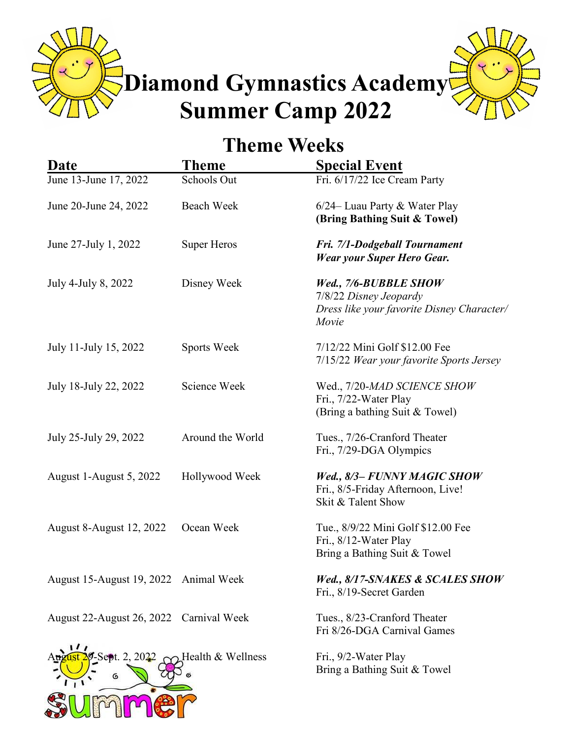**Diamond Gymnastics Academy Summer Camp 2022** 



## **Theme Weeks**

| Date                                                  | <b>Theme</b>       | <b>Special Event</b>                                                                                   |
|-------------------------------------------------------|--------------------|--------------------------------------------------------------------------------------------------------|
| June 13-June 17, 2022                                 | <b>Schools Out</b> | Fri. 6/17/22 Ice Cream Party                                                                           |
| June 20-June 24, 2022                                 | <b>Beach Week</b>  | 6/24– Luau Party & Water Play<br>(Bring Bathing Suit & Towel)                                          |
| June 27-July 1, 2022                                  | <b>Super Heros</b> | Fri. 7/1-Dodgeball Tournament<br><b>Wear your Super Hero Gear.</b>                                     |
| July 4-July 8, 2022                                   | Disney Week        | Wed., 7/6-BUBBLE SHOW<br>7/8/22 Disney Jeopardy<br>Dress like your favorite Disney Character/<br>Movie |
| July 11-July 15, 2022                                 | Sports Week        | 7/12/22 Mini Golf \$12.00 Fee<br>7/15/22 Wear your favorite Sports Jersey                              |
| July 18-July 22, 2022                                 | Science Week       | Wed., 7/20-MAD SCIENCE SHOW<br>Fri., 7/22-Water Play<br>(Bring a bathing Suit & Towel)                 |
| July 25-July 29, 2022                                 | Around the World   | Tues., 7/26-Cranford Theater<br>Fri., 7/29-DGA Olympics                                                |
| August 1-August 5, 2022                               | Hollywood Week     | Wed., 8/3- FUNNY MAGIC SHOW<br>Fri., 8/5-Friday Afternoon, Live!<br>Skit & Talent Show                 |
| <b>August 8-August 12, 2022</b>                       | Ocean Week         | Tue., 8/9/22 Mini Golf \$12.00 Fee<br>Fri., 8/12-Water Play<br>Bring a Bathing Suit & Towel            |
| August 15-August 19, 2022 Animal Week                 |                    | Wed., 8/17-SNAKES & SCALES SHOW<br>Fri., 8/19-Secret Garden                                            |
| August 22-August 26, 2022 Carnival Week               |                    | Tues., 8/23-Cranford Theater<br>Fri 8/26-DGA Carnival Games                                            |
| $\frac{2}{9}$ -Sept. 2, 2022 $\sim$ Health & Wellness |                    | Fri., 9/2-Water Play<br>Bring a Bathing Suit & Towel                                                   |

SUMMO